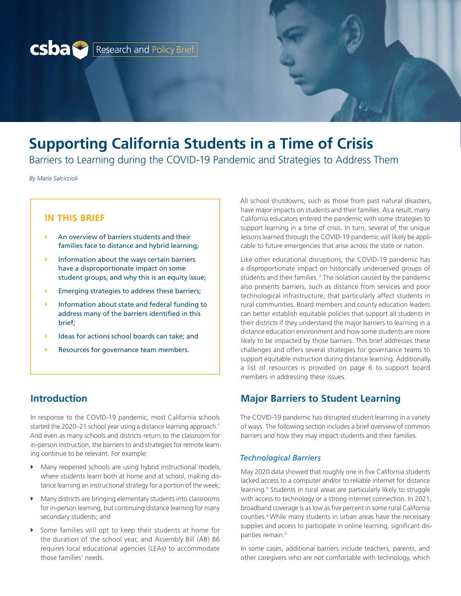

# **Supporting California Students in a Time of Crisis**

Barriers to Learning during the COVID-19 Pandemic and Strategies to Address Them

*By Maria Salciccioli*

## **IN THIS BRIEF**

- An overview of barriers students and their families face to distance and hybrid learning;
- $\blacktriangleright$  Information about the ways certain barriers have a disproportionate impact on some student groups, and why this is an equity issue;
- $\blacktriangleright$  Emerging strategies to address these barriers;
- $\blacktriangleright$  Information about state and federal funding to address many of the barriers identified in this brief;
- Ideas for actions school boards can take; and
- Resources for governance team members.

# **Introduction**

In response to the COVID-19 pandemic, most California schools started the 2020–21 school year using a distance learning approach.<sup>1</sup> And even as many schools and districts return to the classroom for in-person instruction, the barriers to and strategies for remote learning continue to be relevant. For example:

- Many reopened schools are using hybrid instructional models, where students learn both at home and at school, making distance learning an instructional strategy for a portion of the week;
- Many districts are bringing elementary students into classrooms for in-person learning, but continuing distance learning for many secondary students; and
- Some families will opt to keep their students at home for the duration of the school year, and Assembly Bill (AB) 86 requires local educational agencies (LEAs) to accommodate those families' needs.

All school shutdowns, such as those from past natural disasters, have major impacts on students and their families. As a result, many California educators entered the pandemic with some strategies to support learning in a time of crisis. In turn, several of the unique lessons learned through the COVID-19 pandemic will likely be applicable to future emergencies that arise across the state or nation.

Like other educational disruptions, the COVID-19 pandemic has a disproportionate impact on historically underserved groups of students and their families.<sup>2</sup> The isolation caused by the pandemic also presents barriers, such as distance from services and poor technological infrastructure, that particularly affect students in rural communities. Board members and county education leaders can better establish equitable policies that support all students in their districts if they understand the major barriers to learning in a distance education environment and how some students are more likely to be impacted by those barriers. This brief addresses these challenges and offers several strategies for governance teams to support equitable instruction during distance learning. Additionally, a list of resources is provided on [page 6](#page-5-0) to support board members in addressing these issues.

## **Major Barriers to Student Learning**

The COVID-19 pandemic has disrupted student learning in a variety of ways. The following section includes a brief overview of common barriers and how they may impact students and their families.

#### *Technological Barriers*

May 2020 data showed that roughly one in five California students lacked access to a computer and/or to reliable internet for distance learning.<sup>3</sup> Students in rural areas are particularly likely to struggle with access to technology or a strong internet connection. In 2021, broadband coverage is as low as five percent in some rural California counties.4 While many students in urban areas have the necessary supplies and access to participate in online learning, significant disparities remain.<sup>5</sup>

In some cases, additional barriers include teachers, parents, and other caregivers who are not comfortable with technology, which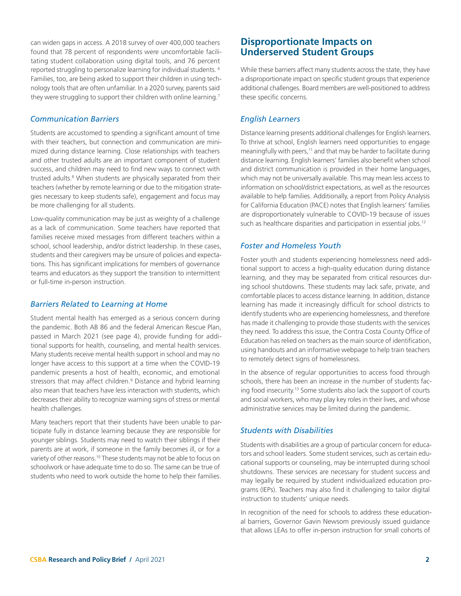can widen gaps in access. A 2018 survey of over 400,000 teachers found that 78 percent of respondents were uncomfortable facilitating student collaboration using digital tools, and 76 percent reported struggling to personalize learning for individual students. 6 Families, too, are being asked to support their children in using technology tools that are often unfamiliar. In a 2020 survey, parents said they were struggling to support their children with online learning.<sup>7</sup>

#### *Communication Barriers*

Students are accustomed to spending a significant amount of time with their teachers, but connection and communication are minimized during distance learning. Close relationships with teachers and other trusted adults are an important component of student success, and children may need to find new ways to connect with trusted adults.<sup>8</sup> When students are physically separated from their teachers (whether by remote learning or due to the mitigation strategies necessary to keep students safe), engagement and focus may be more challenging for all students.

Low-quality communication may be just as weighty of a challenge as a lack of communication. Some teachers have reported that families receive mixed messages from different teachers within a school, school leadership, and/or district leadership. In these cases, students and their caregivers may be unsure of policies and expectations. This has significant implications for members of governance teams and educators as they support the transition to intermittent or full-time in-person instruction.

#### *Barriers Related to Learning at Home*

Student mental health has emerged as a serious concern during the pandemic. Both AB 86 and the federal American Rescue Plan, passed in March 2021 (see [page 4\)](#page-3-0), provide funding for additional supports for health, counseling, and mental health services. Many students receive mental health support in school and may no longer have access to this support at a time when the COVID-19 pandemic presents a host of health, economic, and emotional stressors that may affect children.<sup>9</sup> Distance and hybrid learning also mean that teachers have less interaction with students, which decreases their ability to recognize warning signs of stress or mental health challenges.

Many teachers report that their students have been unable to participate fully in distance learning because they are responsible for younger siblings. Students may need to watch their siblings if their parents are at work, if someone in the family becomes ill, or for a variety of other reasons.<sup>10</sup> These students may not be able to focus on schoolwork or have adequate time to do so. The same can be true of students who need to work outside the home to help their families.

## **Disproportionate Impacts on Underserved Student Groups**

While these barriers affect many students across the state, they have a disproportionate impact on specific student groups that experience additional challenges. Board members are well-positioned to address these specific concerns.

### *English Learners*

Distance learning presents additional challenges for English learners. To thrive at school, English learners need opportunities to engage meaningfully with peers,<sup>11</sup> and that may be harder to facilitate during distance learning. English learners' families also benefit when school and district communication is provided in their home languages, which may not be universally available. This may mean less access to information on school/district expectations, as well as the resources available to help families. Additionally, a report from Policy Analysis for California Education (PACE) notes that English learners' families are disproportionately vulnerable to COVID-19 because of issues such as healthcare disparities and participation in essential jobs.<sup>12</sup>

#### *Foster and Homeless Youth*

Foster youth and students experiencing homelessness need additional support to access a high-quality education during distance learning, and they may be separated from critical resources during school shutdowns. These students may lack safe, private, and comfortable places to access distance learning. In addition, distance learning has made it increasingly difficult for school districts to identify students who are experiencing homelessness, and therefore has made it challenging to provide those students with the services they need. To address this issue, the Contra Costa County Office of Education has relied on teachers as the main source of identification, using handouts and an informative webpage to help train teachers to remotely detect signs of homelessness.

In the absence of regular opportunities to access food through schools, there has been an increase in the number of students facing food insecurity.13 Some students also lack the support of courts and social workers, who may play key roles in their lives, and whose administrative services may be limited during the pandemic.

## *Students with Disabilities*

Students with disabilities are a group of particular concern for educators and school leaders. Some student services, such as certain educational supports or counseling, may be interrupted during school shutdowns. These services are necessary for student success and may legally be required by student individualized education programs (IEPs). Teachers may also find it challenging to tailor digital instruction to students' unique needs.

In recognition of the need for schools to address these educational barriers, Governor Gavin Newsom previously issued guidance that allows LEAs to offer in-person instruction for small cohorts of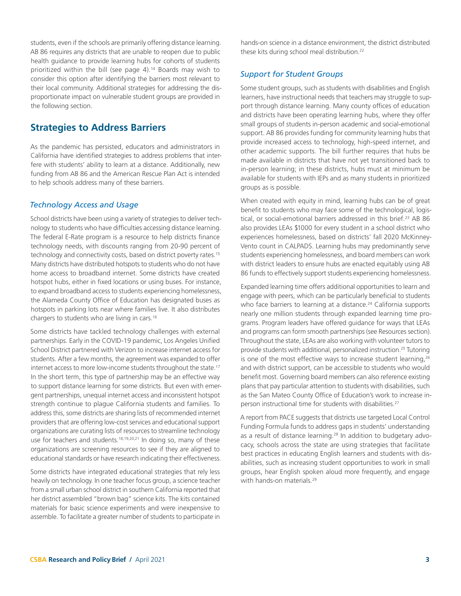students, even if the schools are primarily offering distance learning. AB 86 requires any districts that are unable to reopen due to public health guidance to provide learning hubs for cohorts of students prioritized within the bill (see [page 4\)](#page-3-0).<sup>14</sup> Boards may wish to consider this option after identifying the barriers most relevant to their local community. Additional strategies for addressing the disproportionate impact on vulnerable student groups are provided in the following section.

## **Strategies to Address Barriers**

As the pandemic has persisted, educators and administrators in California have identified strategies to address problems that interfere with students' ability to learn at a distance. Additionally, new funding from AB 86 and the American Rescue Plan Act is intended to help schools address many of these barriers.

#### *Technology Access and Usage*

School districts have been using a variety of strategies to deliver technology to students who have difficulties accessing distance learning. The federal E-Rate program is a resource to help districts finance technology needs, with discounts ranging from 20-90 percent of technology and connectivity costs, based on district poverty rates.<sup>15</sup> Many districts have distributed hotspots to students who do not have home access to broadband internet. Some districts have created hotspot hubs, either in fixed locations or using buses. For instance, to expand broadband access to students experiencing homelessness, the Alameda County Office of Education has designated buses as hotspots in parking lots near where families live. It also distributes chargers to students who are living in cars.16

Some districts have tackled technology challenges with external partnerships. Early in the COVID-19 pandemic, Los Angeles Unified School District partnered with Verizon to increase internet access for students. After a few months, the agreement was expanded to offer internet access to more low-income students throughout the state.<sup>17</sup> In the short term, this type of partnership may be an effective way to support distance learning for some districts. But even with emergent partnerships, unequal internet access and inconsistent hotspot strength continue to plague California students and families. To address this, some districts are sharing lists of recommended internet providers that are offering low-cost services and educational support organizations are curating lists of resources to streamline technology use for teachers and students.<sup>18,19,20,21</sup> In doing so, many of these organizations are screening resources to see if they are aligned to educational standards or have research indicating their effectiveness.

Some districts have integrated educational strategies that rely less heavily on technology. In one teacher focus group, a science teacher from a small urban school district in southern California reported that her district assembled "brown bag" science kits. The kits contained materials for basic science experiments and were inexpensive to assemble. To facilitate a greater number of students to participate in

hands-on science in a distance environment, the district distributed these kits during school meal distribution.<sup>22</sup>

#### *Support for Student Groups*

Some student groups, such as students with disabilities and English learners, have instructional needs that teachers may struggle to support through distance learning. Many county offices of education and districts have been operating learning hubs, where they offer small groups of students in-person academic and social-emotional support. AB 86 provides funding for community learning hubs that provide increased access to technology, high-speed internet, and other academic supports. The bill further requires that hubs be made available in districts that have not yet transitioned back to in-person learning; in these districts, hubs must at minimum be available for students with IEPs and as many students in prioritized groups as is possible.

When created with equity in mind, learning hubs can be of great benefit to students who may face some of the technological, logistical, or social-emotional barriers addressed in this brief.<sup>23</sup> AB 86 also provides LEAs \$1000 for every student in a school district who experiences homelessness, based on districts' fall 2020 McKinney-Vento count in CALPADS. Learning hubs may predominantly serve students experiencing homelessness, and board members can work with district leaders to ensure hubs are enacted equitably using AB 86 funds to effectively support students experiencing homelessness.

Expanded learning time offers additional opportunities to learn and engage with peers, which can be particularly beneficial to students who face barriers to learning at a distance.<sup>24</sup> California supports nearly one million students through expanded learning time programs. Program leaders have offered guidance for ways that LEAs and programs can form smooth partnerships (see [Resources](#page-5-0) section). Throughout the state, LEAs are also working with volunteer tutors to provide students with additional, personalized instruction.25 Tutoring is one of the most effective ways to increase student learning,<sup>26</sup> and with district support, can be accessible to students who would benefit most. Governing board members can also reference existing plans that pay particular attention to students with disabilities, such as the San Mateo County Office of Education's work to increase inperson instructional time for students with disabilities.<sup>27</sup>

A report from PACE suggests that districts use targeted Local Control Funding Formula funds to address gaps in students' understanding as a result of distance learning.<sup>28</sup> In addition to budgetary advocacy, schools across the state are using strategies that facilitate best practices in educating English learners and students with disabilities, such as increasing student opportunities to work in small groups, hear English spoken aloud more frequently, and engage with hands-on materials.<sup>29</sup>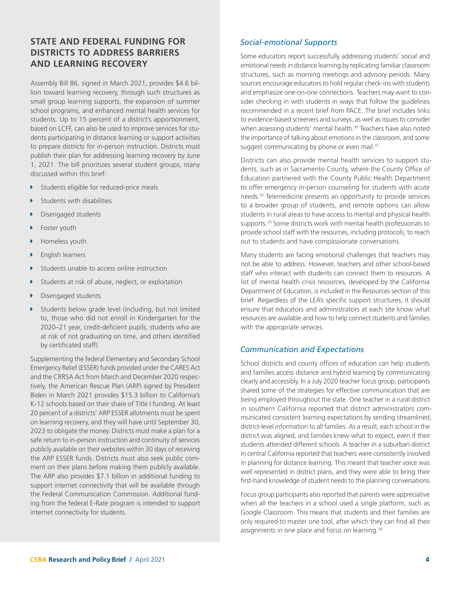# <span id="page-3-0"></span>**STATE AND FEDERAL FUNDING FOR DISTRICTS TO ADDRESS BARRIERS AND LEARNING RECOVERY**

Assembly Bill 86, signed in March 2021, provides \$4.6 billion toward learning recovery, through such structures as small group learning supports, the expansion of summer school programs, and enhanced mental health services for students. Up to 15 percent of a district's apportionment, based on LCFF, can also be used to improve services for students participating in distance learning or support activities to prepare districts for in-person instruction. Districts must publish their plan for addressing learning recovery by June 1, 2021. The bill prioritizes several student groups, many discussed within this brief:

- Students eligible for reduced-price meals
- Students with disabilities
- Disengaged students
- Foster youth
- Homeless youth
- English learners
- Students unable to access online instruction
- Students at risk of abuse, neglect, or exploitation
- Disengaged students
- Students below grade level (including, but not limited to, those who did not enroll in Kindergarten for the 2020–21 year, credit-deficient pupils, students who are at risk of not graduating on time, and others identified by certificated staff)

Supplementing the federal Elementary and Secondary School Emergency Relief (ESSER) funds provided under the CARES Act and the CRRSA Act from March and December 2020 respectively, the American Rescue Plan (ARP) signed by President Biden in March 2021 provides \$15.3 billion to California's K-12 schools based on their share of Title I funding. At least 20 percent of a districts' ARP ESSER allotments must be spent on learning recovery, and they will have until September 30, 2023 to obligate the money. Districts must make a plan for a safe return to in-person instruction and continuity of services publicly available on their websites within 30 days of receiving the ARP ESSER funds. Districts must also seek public comment on their plans before making them publicly available. The ARP also provides \$7.1 billion in additional funding to support internet connectivity that will be available through the Federal Communication Commission. Additional funding from the federal E-Rate program is intended to support internet connectivity for students.

#### *Social-emotional Supports*

Some educators report successfully addressing students' social and emotional needs in distance learning by replicating familiar classroom structures, such as morning meetings and advisory periods. Many sources encourage educators to hold regular check-ins with students and emphasize one-on-one connections. Teachers may want to consider checking in with students in ways that follow the guidelines recommended in a recent brief from PACE. The brief includes links to evidence-based screeners and surveys, as well as issues to consider when assessing students' mental health.<sup>30</sup> Teachers have also noted the importance of talking about emotions in the classroom, and some suggest communicating by phone or even mail.<sup>31</sup>

Districts can also provide mental health services to support students, such as in Sacramento County, where the County Office of Education partnered with the County Public Health Department to offer emergency in-person counseling for students with acute needs.32 Telemedicine presents an opportunity to provide services to a broader group of students, and remote options can allow students in rural areas to have access to mental and physical health supports.<sup>33</sup> Some districts work with mental health professionals to provide school staff with the resources, including protocols, to reach out to students and have compassionate conversations.

Many students are facing emotional challenges that teachers may not be able to address. However, teachers and other school-based staff who interact with students can connect them to resources. A list of mental health crisis resources, developed by the California Department of Education, is included in the Resources section of this brief. Regardless of the LEA's specific support structures, it should ensure that educators and administrators at each site know what resources are available and how to help connect students and families with the appropriate services.

#### *Communication and Expectations*

School districts and county offices of education can help students and families access distance and hybrid learning by communicating clearly and accessibly. In a July 2020 teacher focus group, participants shared some of the strategies for effective communication that are being employed throughout the state. One teacher in a rural district in southern California reported that district administrators communicated consistent learning expectations by sending streamlined, district-level information to all families. As a result, each school in the district was aligned, and families knew what to expect, even if their students attended different schools. A teacher in a suburban district in central California reported that teachers were consistently involved in planning for distance learning. This meant that teacher voice was well represented in district plans, and they were able to bring their first-hand knowledge of student needs to the planning conversations.

Focus group participants also reported that parents were appreciative when all the teachers in a school used a single platform, such as Google Classroom. This means that students and their families are only required to master one tool, after which they can find all their assignments in one place and focus on learning.<sup>34</sup>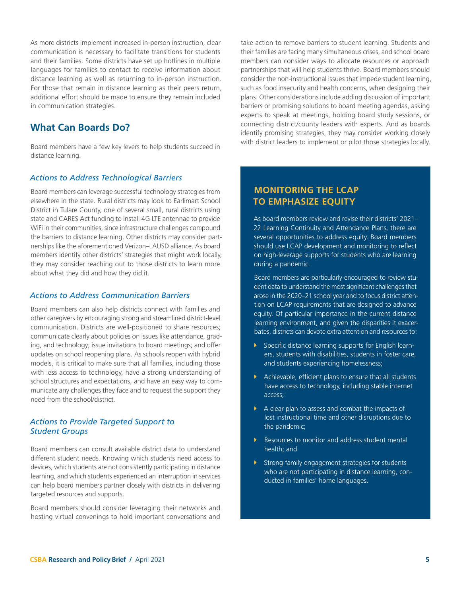As more districts implement increased in-person instruction, clear communication is necessary to facilitate transitions for students and their families. Some districts have set up hotlines in multiple languages for families to contact to receive information about distance learning as well as returning to in-person instruction. For those that remain in distance learning as their peers return, additional effort should be made to ensure they remain included in communication strategies.

# **What Can Boards Do?**

Board members have a few key levers to help students succeed in distance learning.

#### *Actions to Address Technological Barriers*

Board members can leverage successful technology strategies from elsewhere in the state. Rural districts may look to Earlimart School District in Tulare County, one of several small, rural districts using state and CARES Act funding to install 4G LTE antennae to provide WiFi in their communities, since infrastructure challenges compound the barriers to distance learning. Other districts may consider partnerships like the aforementioned Verizon–LAUSD alliance. As board members identify other districts' strategies that might work locally, they may consider reaching out to those districts to learn more about what they did and how they did it.

#### *Actions to Address Communication Barriers*

Board members can also help districts connect with families and other caregivers by encouraging strong and streamlined district-level communication. Districts are well-positioned to share resources; communicate clearly about policies on issues like attendance, grading, and technology; issue invitations to board meetings; and offer updates on school reopening plans. As schools reopen with hybrid models, it is critical to make sure that all families, including those with less access to technology, have a strong understanding of school structures and expectations, and have an easy way to communicate any challenges they face and to request the support they need from the school/district.

#### *Actions to Provide Targeted Support to Student Groups*

Board members can consult available district data to understand different student needs. Knowing which students need access to devices, which students are not consistently participating in distance learning, and which students experienced an interruption in services can help board members partner closely with districts in delivering targeted resources and supports.

Board members should consider leveraging their networks and hosting virtual convenings to hold important conversations and

take action to remove barriers to student learning. Students and their families are facing many simultaneous crises, and school board members can consider ways to allocate resources or approach partnerships that will help students thrive. Board members should consider the non-instructional issues that impede student learning, such as food insecurity and health concerns, when designing their plans. Other considerations include adding discussion of important barriers or promising solutions to board meeting agendas, asking experts to speak at meetings, holding board study sessions, or connecting district/county leaders with experts. And as boards identify promising strategies, they may consider working closely with district leaders to implement or pilot those strategies locally.

## **MONITORING THE LCAP TO EMPHASIZE EQUITY**

As board members review and revise their districts' 2021– 22 Learning Continuity and Attendance Plans, there are several opportunities to address equity. Board members should use LCAP development and monitoring to reflect on high-leverage supports for students who are learning during a pandemic.

Board members are particularly encouraged to review student data to understand the most significant challenges that arose in the 2020–21 school year and to focus district attention on LCAP requirements that are designed to advance equity. Of particular importance in the current distance learning environment, and given the disparities it exacerbates, districts can devote extra attention and resources to:

- $\triangleright$  Specific distance learning supports for English learners, students with disabilities, students in foster care, and students experiencing homelessness;
- $\blacktriangleright$  Achievable, efficient plans to ensure that all students have access to technology, including stable internet access;
- $\triangleright$  A clear plan to assess and combat the impacts of lost instructional time and other disruptions due to the pandemic;
- $\blacktriangleright$  Resources to monitor and address student mental health; and
- $\triangleright$  Strong family engagement strategies for students who are not participating in distance learning, conducted in families' home languages.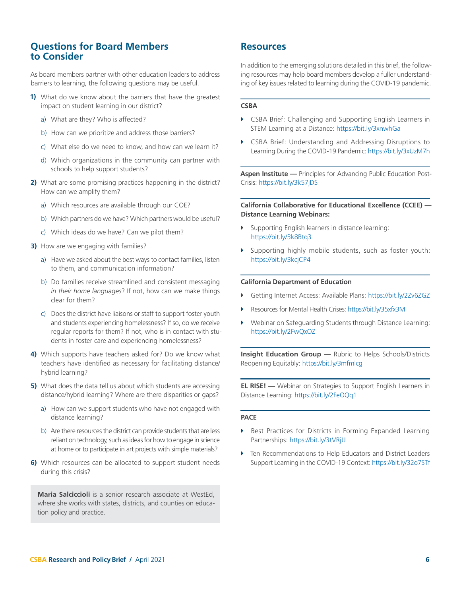## **Questions for Board Members to Consider**

As board members partner with other education leaders to address barriers to learning, the following questions may be useful.

- **1)** What do we know about the barriers that have the greatest impact on student learning in our district?
	- a) What are they? Who is affected?
	- b) How can we prioritize and address those barriers?
	- c) What else do we need to know, and how can we learn it?
	- d) Which organizations in the community can partner with schools to help support students?
- **2)** What are some promising practices happening in the district? How can we amplify them?
	- a) Which resources are available through our COE?
	- b) Which partners do we have? Which partners would be useful?
	- c) Which ideas do we have? Can we pilot them?
- **3)** How are we engaging with families?
	- a) Have we asked about the best ways to contact families, listen to them, and communication information?
	- b) Do families receive streamlined and consistent messaging *in their home languages*? If not, how can we make things clear for them?
	- c) Does the district have liaisons or staff to support foster youth and students experiencing homelessness? If so, do we receive regular reports for them? If not, who is in contact with students in foster care and experiencing homelessness?
- **4)** Which supports have teachers asked for? Do we know what teachers have identified as necessary for facilitating distance/ hybrid learning?
- **5)** What does the data tell us about which students are accessing distance/hybrid learning? Where are there disparities or gaps?
	- a) How can we support students who have not engaged with distance learning?
	- b) Are there resources the district can provide students that are less reliant on technology, such as ideas for how to engage in science at home or to participate in art projects with simple materials?
- **6)** Which resources can be allocated to support student needs during this crisis?

**Maria Salciccioli** is a senior research associate at WestEd, where she works with states, districts, and counties on education policy and practice.

## <span id="page-5-0"></span>**Resources**

In addition to the emerging solutions detailed in this brief, the following resources may help board members develop a fuller understanding of key issues related to learning during the COVID-19 pandemic.

#### **CSBA**

- **EXECT A** CSBA Brief: Challenging and Supporting English Learners in STEM Learning at a Distance: https://bit.ly/3xnwhGa
- GSBA Brief: Understanding and Addressing Disruptions to Learning During the COVID-19 Pandemic: https://bit.ly/3xUzM7h

**Aspen Institute —** Principles for Advancing Public Education Post-Crisis: <https://bit.ly/3k57jDS>

**California Collaborative for Educational Excellence (CCEE) — Distance Learning Webinars:**

- **EXECUTE:** Supporting English learners in distance learning: <https://bit.ly/3k8Btq3>
- $\triangleright$  Supporting highly mobile students, such as foster youth: <https://bit.ly/3kcjCP4>

#### **California Department of Education**

- Î Getting Internet Access: Available Plans:<https://bit.ly/2Zv6ZGZ>
- **EXECUTE: Resources for Mental Health Crises:<https://bit.ly/35xfx3M>**
- $\blacktriangleright$  Webinar on Safeguarding Students through Distance Learning: <https://bit.ly/2FwQxOZ>

**Insight Education Group —** Rubric to Helps Schools/Districts Reopening Equitably: <https://bit.ly/3mfmlcg>

**EL RISE! —** Webinar on Strategies to Support English Learners in Distance Learning: <https://bit.ly/2FeOQq1>

#### **PACE**

- **Best Practices for Districts in Forming Expanded Learning** Partnerships: https://bit.ly/3tVRjJJ
- $\triangleright$  Ten Recommendations to Help Educators and District Leaders Support Learning in the COVID-19 Context:<https://bit.ly/32o7STf>